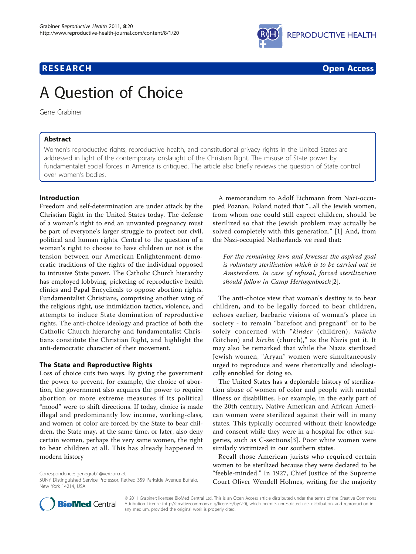# **REPRODUCTIVE HEALTH**

## **RESEARCH CONTROL** CONTROL CONTROL CONTROL CONTROL CONTROL CONTROL CONTROL CONTROL CONTROL CONTROL CONTROL CONTROL

## A Question of Choice

Gene Grabiner

### Abstract

Women's reproductive rights, reproductive health, and constitutional privacy rights in the United States are addressed in light of the contemporary onslaught of the Christian Right. The misuse of State power by fundamentalist social forces in America is critiqued. The article also briefly reviews the question of State control over women's bodies.

#### Introduction

Freedom and self-determination are under attack by the Christian Right in the United States today. The defense of a woman's right to end an unwanted pregnancy must be part of everyone's larger struggle to protect our civil, political and human rights. Central to the question of a woman's right to choose to have children or not is the tension between our American Enlightenment-democratic traditions of the rights of the individual opposed to intrusive State power. The Catholic Church hierarchy has employed lobbying, picketing of reproductive health clinics and Papal Encyclicals to oppose abortion rights. Fundamentalist Christians, comprising another wing of the religious right, use intimidation tactics, violence, and attempts to induce State domination of reproductive rights. The anti-choice ideology and practice of both the Catholic Church hierarchy and fundamentalist Christians constitute the Christian Right, and highlight the anti-democratic character of their movement.

#### The State and Reproductive Rights

Loss of choice cuts two ways. By giving the government the power to prevent, for example, the choice of abortion, the government also acquires the power to require abortion or more extreme measures if its political "mood" were to shift directions. If today, choice is made illegal and predominantly low income, working-class, and women of color are forced by the State to bear children, the State may, at the same time, or later, also deny certain women, perhaps the very same women, the right to bear children at all. This has already happened in modern history

Correspondence: [genegrab1@verizon.net](mailto:genegrab1@verizon.net)

SUNY Distinguished Service Professor, Retired 359 Parkside Avenue Buffalo, New York 14214, USA

A memorandum to Adolf Eichmann from Nazi-occupied Poznan, Poland noted that "...all the Jewish women, from whom one could still expect children, should be sterilized so that the Jewish problem may actually be solved completely with this generation." [[1\]](#page-6-0) And, from the Nazi-occupied Netherlands we read that:

For the remaining Jews and Jewesses the aspired goal is voluntary sterilization which is to be carried out in Amsterdam. In case of refusal, forced sterilization should follow in Camp Hertogenbosch[\[2](#page-6-0)].

The anti-choice view that woman's destiny is to bear children, and to be legally forced to bear children, echoes earlier, barbaric visions of woman's place in society - to remain "barefoot and pregnant" or to be solely concerned with "kinder (children), kuüche (kitchen) and kirche (church)," as the Nazis put it. It may also be remarked that while the Nazis sterilized Jewish women, "Aryan" women were simultaneously urged to reproduce and were rhetorically and ideologically ennobled for doing so.

The United States has a deplorable history of sterilization abuse of women of color and people with mental illness or disabilities. For example, in the early part of the 20th century, Native American and African American women were sterilized against their will in many states. This typically occurred without their knowledge and consent while they were in a hospital for other surgeries, such as C-sections[[3](#page-6-0)]. Poor white women were similarly victimized in our southern states.

Recall those American jurists who required certain women to be sterilized because they were declared to be "feeble-minded." In 1927, Chief Justice of the Supreme Court Oliver Wendell Holmes, writing for the majority



© 2011 Grabiner; licensee BioMed Central Ltd. This is an Open Access article distributed under the terms of the Creative Commons Attribution License [\(http://creativecommons.org/licenses/by/2.0](http://creativecommons.org/licenses/by/2.0)), which permits unrestricted use, distribution, and reproduction in any medium, provided the original work is properly cited.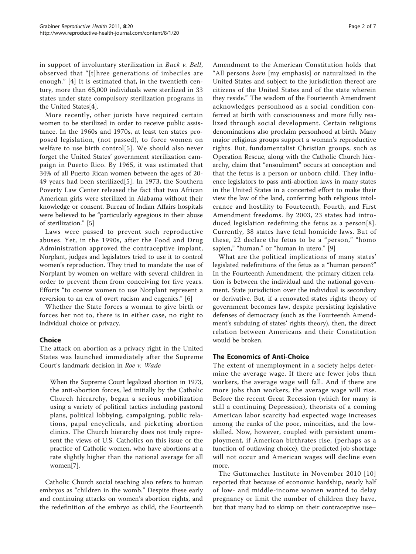in support of involuntary sterilization in Buck v. Bell, observed that "[t]hree generations of imbeciles are enough." [[4\]](#page-6-0) It is estimated that, in the twentieth century, more than 65,000 individuals were sterilized in 33 states under state compulsory sterilization programs in the United States[[4\]](#page-6-0).

More recently, other jurists have required certain women to be sterilized in order to receive public assistance. In the 1960s and 1970s, at least ten states proposed legislation, (not passed), to force women on welfare to use birth control[[5](#page-6-0)]. We should also never forget the United States' government sterilization campaign in Puerto Rico. By 1965, it was estimated that 34% of all Puerto Rican women between the ages of 20- 49 years had been sterilized[[5](#page-6-0)]. In 1973, the Southern Poverty Law Center released the fact that two African American girls were sterilized in Alabama without their knowledge or consent. Bureau of Indian Affairs hospitals were believed to be "particularly egregious in their abuse of sterilization." [\[5](#page-6-0)]

Laws were passed to prevent such reproductive abuses. Yet, in the 1990s, after the Food and Drug Administration approved the contraceptive implant, Norplant, judges and legislators tried to use it to control women's reproduction. They tried to mandate the use of Norplant by women on welfare with several children in order to prevent them from conceiving for five years. Efforts "to coerce women to use Norplant represent a reversion to an era of overt racism and eugenics." [[6\]](#page-6-0)

Whether the State forces a woman to give birth or forces her not to, there is in either case, no right to individual choice or privacy.

#### Choice

The attack on abortion as a privacy right in the United States was launched immediately after the Supreme Court's landmark decision in Roe v. Wade

When the Supreme Court legalized abortion in 1973, the anti-abortion forces, led initially by the Catholic Church hierarchy, began a serious mobilization using a variety of political tactics including pastoral plans, political lobbying, campaigning, public relations, papal encyclicals, and picketing abortion clinics. The Church hierarchy does not truly represent the views of U.S. Catholics on this issue or the practice of Catholic women, who have abortions at a rate slightly higher than the national average for all women[[7](#page-6-0)].

Catholic Church social teaching also refers to human embryos as "children in the womb." Despite these early and continuing attacks on women's abortion rights, and the redefinition of the embryo as child, the Fourteenth Amendment to the American Constitution holds that "All persons born [my emphasis] or naturalized in the United States and subject to the jurisdiction thereof are citizens of the United States and of the state wherein they reside." The wisdom of the Fourteenth Amendment acknowledges personhood as a social condition conferred at birth with consciousness and more fully realized through social development. Certain religious denominations also proclaim personhood at birth. Many major religious groups support a woman's reproductive rights. But, fundamentalist Christian groups, such as Operation Rescue, along with the Catholic Church hierarchy, claim that "ensoulment" occurs at conception and that the fetus is a person or unborn child. They influence legislators to pass anti-abortion laws in many states in the United States in a concerted effort to make their view the law of the land, conferring both religious intolerance and hostility to Fourteenth, Fourth, and First Amendment freedoms. By 2003, 23 states had introduced legislation redefining the fetus as a person[[8\]](#page-6-0). Currently, 38 states have fetal homicide laws. But of these, 22 declare the fetus to be a "person," "homo sapien," "human," or "human in utero." [\[9](#page-6-0)]

What are the political implications of many states' legislated redefinitions of the fetus as a "human person?" In the Fourteenth Amendment, the primary citizen relation is between the individual and the national government. State jurisdiction over the individual is secondary or derivative. But, if a renovated states rights theory of government becomes law, despite persisting legislative defenses of democracy (such as the Fourteenth Amendment's subduing of states' rights theory), then, the direct relation between Americans and their Constitution would be broken.

#### The Economics of Anti-Choice

The extent of unemployment in a society helps determine the average wage. If there are fewer jobs than workers, the average wage will fall. And if there are more jobs than workers, the average wage will rise. Before the recent Great Recession (which for many is still a continuing Depression), theorists of a coming American labor scarcity had expected wage increases among the ranks of the poor, minorities, and the lowskilled. Now, however, coupled with persistent unemployment, if American birthrates rise, (perhaps as a function of outlawing choice), the predicted job shortage will not occur and American wages will decline even more.

The Guttmacher Institute in November 2010 [[10](#page-6-0)] reported that because of economic hardship, nearly half of low- and middle-income women wanted to delay pregnancy or limit the number of children they have, but that many had to skimp on their contraceptive use–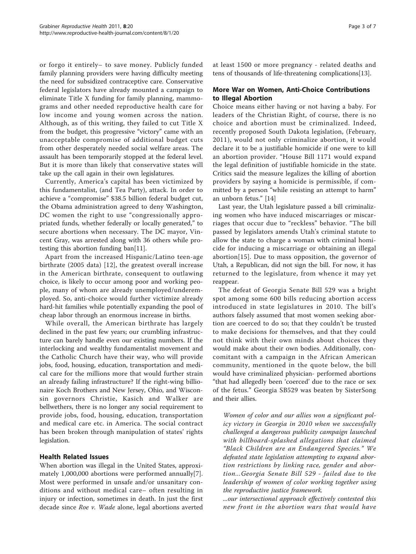or forgo it entirely– to save money. Publicly funded family planning providers were having difficulty meeting the need for subsidized contraceptive care. Conservative federal legislators have already mounted a campaign to eliminate Title X funding for family planning, mammograms and other needed reproductive health care for low income and young women across the nation. Although, as of this writing, they failed to cut Title X from the budget, this progressive "victory" came with an unacceptable compromise of additional budget cuts from other desperately needed social welfare areas. The assault has been temporarily stopped at the federal level. But it is more than likely that conservative states will take up the call again in their own legislatures.

Currently, America's capital has been victimized by this fundamentalist, (and Tea Party), attack. In order to achieve a "compromise" \$38.5 billion federal budget cut, the Obama administration agreed to deny Washington, DC women the right to use "congressionally appropriated funds, whether federally or locally generated," to secure abortions when necessary. The DC mayor, Vincent Gray, was arrested along with 36 others while protesting this abortion funding ban[\[11\]](#page-6-0).

Apart from the increased Hispanic/Latino teen-age birthrate (2005 data) [[12](#page-6-0)], the greatest overall increase in the American birthrate, consequent to outlawing choice, is likely to occur among poor and working people, many of whom are already unemployed/underemployed. So, anti-choice would further victimize already hard-hit families while potentially expanding the pool of cheap labor through an enormous increase in births.

While overall, the American birthrate has largely declined in the past few years; our crumbling infrastructure can barely handle even our existing numbers. If the interlocking and wealthy fundamentalist movement and the Catholic Church have their way, who will provide jobs, food, housing, education, transportation and medical care for the millions more that would further strain an already failing infrastructure? If the right-wing billionaire Koch Brothers and New Jersey, Ohio, and Wisconsin governors Christie, Kasich and Walker are bellwethers, there is no longer any social requirement to provide jobs, food, housing, education, transportation and medical care etc. in America. The social contract has been broken through manipulation of states' rights legislation.

#### Health Related Issues

When abortion was illegal in the United States, approximately 1,000,000 abortions were performed annually[[7](#page-6-0)]. Most were performed in unsafe and/or unsanitary conditions and without medical care– often resulting in injury or infection, sometimes in death. In just the first decade since Roe v. Wade alone, legal abortions averted Page 3 of 7

at least 1500 or more pregnancy - related deaths and tens of thousands of life-threatening complications[[13\]](#page-6-0).

#### More War on Women, Anti-Choice Contributions to Illegal Abortion

Choice means either having or not having a baby. For leaders of the Christian Right, of course, there is no choice and abortion must be criminalized. Indeed, recently proposed South Dakota legislation, (February, 2011), would not only criminalize abortion, it would declare it to be a justifiable homicide if one were to kill an abortion provider. "House Bill 1171 would expand the legal definition of justifiable homicide in the state. Critics said the measure legalizes the killing of abortion providers by saying a homicide is permissible, if committed by a person "while resisting an attempt to harm" an unborn fetus." [\[14](#page-6-0)]

Last year, the Utah legislature passed a bill criminalizing women who have induced miscarriages or miscarriages that occur due to "reckless" behavior. "The bill passed by legislators amends Utah's criminal statute to allow the state to charge a woman with criminal homicide for inducing a miscarriage or obtaining an illegal abortion[[15](#page-6-0)]. Due to mass opposition, the governor of Utah, a Republican, did not sign the bill. For now, it has returned to the legislature, from whence it may yet reappear.

The defeat of Georgia Senate Bill 529 was a bright spot among some 600 bills reducing abortion access introduced in state legislatures in 2010. The bill's authors falsely assumed that most women seeking abortion are coerced to do so; that they couldn't be trusted to make decisions for themselves, and that they could not think with their own minds about choices they would make about their own bodies. Additionally, concomitant with a campaign in the African American community, mentioned in the quote below, the bill would have criminalized physician- performed abortions "that had allegedly been 'coerced' due to the race or sex of the fetus." Georgia SB529 was beaten by SisterSong and their allies.

Women of color and our allies won a significant policy victory in Georgia in 2010 when we successfully challenged a dangerous publicity campaign launched with billboard-splashed allegations that claimed "Black Children are an Endangered Species." We defeated state legislation attempting to expand abortion restrictions by linking race, gender and abortion...Georgia Senate Bill 529 - failed due to the leadership of women of color working together using the reproductive justice framework.

...our intersectional approach effectively contested this new front in the abortion wars that would have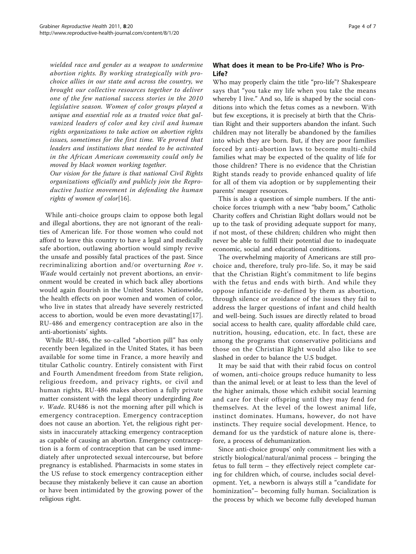wielded race and gender as a weapon to undermine abortion rights. By working strategically with prochoice allies in our state and across the country, we brought our collective resources together to deliver one of the few national success stories in the 2010 legislative season. Women of color groups played a unique and essential role as a trusted voice that galvanized leaders of color and key civil and human rights organizations to take action on abortion rights issues, sometimes for the first time. We proved that leaders and institutions that needed to be activated in the African American community could only be moved by black women working together.

Our vision for the future is that national Civil Rights organizations officially and publicly join the Reproductive Justice movement in defending the human rights of women of color[\[16](#page-6-0)].

While anti-choice groups claim to oppose both legal and illegal abortions, they are not ignorant of the realities of American life. For those women who could not afford to leave this country to have a legal and medically safe abortion, outlawing abortion would simply revive the unsafe and possibly fatal practices of the past. Since recriminalizing abortion and/or overturning Roe  $\nu$ . Wade would certainly not prevent abortions, an environment would be created in which back alley abortions would again flourish in the United States. Nationwide, the health effects on poor women and women of color, who live in states that already have severely restricted access to abortion, would be even more devastating[\[17](#page-6-0)]. RU-486 and emergency contraception are also in the anti-abortionists' sights.

While RU-486, the so-called "abortion pill" has only recently been legalized in the United States, it has been available for some time in France, a more heavily and titular Catholic country. Entirely consistent with First and Fourth Amendment freedom from State religion, religious freedom, and privacy rights, or civil and human rights, RU-486 makes abortion a fully private matter consistent with the legal theory undergirding Roe  $v.$  Wade. RU486 is not the morning after pill which is emergency contraception. Emergency contraception does not cause an abortion. Yet, the religious right persists in inaccurately attacking emergency contraception as capable of causing an abortion. Emergency contraception is a form of contraception that can be used immediately after unprotected sexual intercourse, but before pregnancy is established. Pharmacists in some states in the US refuse to stock emergency contraception either because they mistakenly believe it can cause an abortion or have been intimidated by the growing power of the religious right.

#### What does it mean to be Pro-Life? Who is Pro-Life?

Who may properly claim the title "pro-life"? Shakespeare says that "you take my life when you take the means whereby I live." And so, life is shaped by the social conditions into which the fetus comes as a newborn. With but few exceptions, it is precisely at birth that the Christian Right and their supporters abandon the infant. Such children may not literally be abandoned by the families into which they are born. But, if they are poor families forced by anti-abortion laws to become multi-child families what may be expected of the quality of life for those children? There is no evidence that the Christian Right stands ready to provide enhanced quality of life for all of them via adoption or by supplementing their parents' meager resources.

This is also a question of simple numbers. If the antichoice forces triumph with a new "baby boom," Catholic Charity coffers and Christian Right dollars would not be up to the task of providing adequate support for many, if not most, of these children; children who might then never be able to fulfill their potential due to inadequate economic, social and educational conditions.

The overwhelming majority of Americans are still prochoice and, therefore, truly pro-life. So, it may be said that the Christian Right's commitment to life begins with the fetus and ends with birth. And while they oppose infanticide re-defined by them as abortion, through silence or avoidance of the issues they fail to address the larger questions of infant and child health and well-being. Such issues are directly related to broad social access to health care, quality affordable child care, nutrition, housing, education, etc. In fact, these are among the programs that conservative politicians and those on the Christian Right would also like to see slashed in order to balance the U.S budget.

It may be said that with their rabid focus on control of women, anti-choice groups reduce humanity to less than the animal level; or at least to less than the level of the higher animals, those which exhibit social learning and care for their offspring until they may fend for themselves. At the level of the lowest animal life, instinct dominates. Humans, however, do not have instincts. They require social development. Hence, to demand for us the yardstick of nature alone is, therefore, a process of dehumanization.

Since anti-choice groups' only commitment lies with a strictly biological/natural/animal process – bringing the fetus to full term – they effectively reject complete caring for children which, of course, includes social development. Yet, a newborn is always still a "candidate for hominization"– becoming fully human. Socialization is the process by which we become fully developed human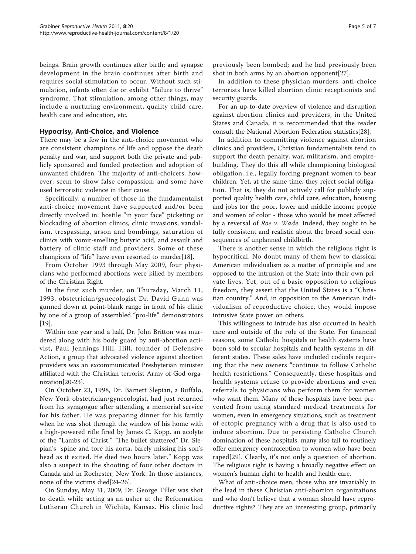beings. Brain growth continues after birth; and synapse development in the brain continues after birth and requires social stimulation to occur. Without such stimulation, infants often die or exhibit "failure to thrive" syndrome. That stimulation, among other things, may include a nurturing environment, quality child care, health care and education, etc.

#### Hypocrisy, Anti-Choice, and Violence

There may be a few in the anti-choice movement who are consistent champions of life and oppose the death penalty and war, and support both the private and publicly sponsored and funded protection and adoption of unwanted children. The majority of anti-choicers, however, seem to show false compassion; and some have used terroristic violence in their cause.

Specifically, a number of those in the fundamentalist anti-choice movement have supported and/or been directly involved in: hostile "in your face" picketing or blockading of abortion clinics, clinic invasions, vandalism, trespassing, arson and bombings, saturation of clinics with vomit-smelling butyric acid, and assault and battery of clinic staff and providers. Some of these champions of "life" have even resorted to murder[[18\]](#page-6-0).

From October 1993 through May 2009, four physicians who performed abortions were killed by members of the Christian Right.

In the first such murder, on Thursday, March 11, 1993, obstetrician/gynecologist Dr. David Gunn was gunned down at point-blank range in front of his clinic by one of a group of assembled "pro-life" demonstrators [[19\]](#page-6-0).

Within one year and a half, Dr. John Britton was murdered along with his body guard by anti-abortion activist, Paul Jennings Hill. Hill, founder of Defensive Action, a group that advocated violence against abortion providers was an excommunicated Presbyterian minister affiliated with the Christian terrorist Army of God organization[[20](#page-6-0)-[23\]](#page-6-0).

On October 23, 1998, Dr. Barnett Slepian, a Buffalo, New York obstetrician/gynecologist, had just returned from his synagogue after attending a memorial service for his father. He was preparing dinner for his family when he was shot through the window of his home with a high-powered rifle fired by James C. Kopp, an acolyte of the "Lambs of Christ." "The bullet shattered" Dr. Slepian's "spine and tore his aorta, barely missing his son's head as it exited. He died two hours later." Kopp was also a suspect in the shooting of four other doctors in Canada and in Rochester, New York. In those instances, none of the victims died[\[24-26](#page-6-0)].

On Sunday, May 31, 2009, Dr. George Tiller was shot to death while acting as an usher at the Reformation Lutheran Church in Wichita, Kansas. His clinic had previously been bombed; and he had previously been shot in both arms by an abortion opponent[[27\]](#page-6-0).

In addition to these physician murders, anti-choice terrorists have killed abortion clinic receptionists and security guards.

For an up-to-date overview of violence and disruption against abortion clinics and providers, in the United States and Canada, it is recommended that the reader consult the National Abortion Federation statistics[\[28\]](#page-6-0).

In addition to committing violence against abortion clinics and providers, Christian fundamentalists tend to support the death penalty, war, militarism, and empirebuilding. They do this all while championing biological obligation, i.e., legally forcing pregnant women to bear children. Yet, at the same time, they reject social obligation. That is, they do not actively call for publicly supported quality health care, child care, education, housing and jobs for the poor, lower and middle income people and women of color - those who would be most affected by a reversal of Roe v. Wade. Indeed, they ought to be fully consistent and realistic about the broad social consequences of unplanned childbirth.

There is another sense in which the religious right is hypocritical. No doubt many of them hew to classical American individualism as a matter of principle and are opposed to the intrusion of the State into their own private lives. Yet, out of a basic opposition to religious freedom, they assert that the United States is a "Christian country." And, in opposition to the American individualism of reproductive choice, they would impose intrusive State power on others.

This willingness to intrude has also occurred in health care and outside of the role of the State. For financial reasons, some Catholic hospitals or health systems have been sold to secular hospitals and health systems in different states. These sales have included codicils requiring that the new owners "continue to follow Catholic health restrictions." Consequently, these hospitals and health systems refuse to provide abortions and even referrals to physicians who perform them for women who want them. Many of these hospitals have been prevented from using standard medical treatments for women, even in emergency situations, such as treatment of ectopic pregnancy with a drug that is also used to induce abortion. Due to persisting Catholic Church domination of these hospitals, many also fail to routinely offer emergency contraception to women who have been raped[[29\]](#page-6-0). Clearly, it's not only a question of abortion. The religious right is having a broadly negative effect on women's human right to health and health care.

What of anti-choice men, those who are invariably in the lead in these Christian anti-abortion organizations and who don't believe that a woman should have reproductive rights? They are an interesting group, primarily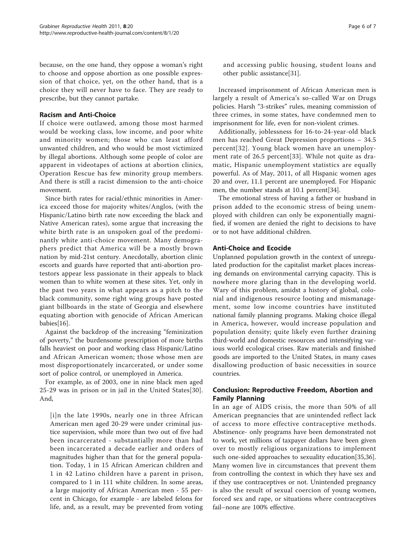because, on the one hand, they oppose a woman's right to choose and oppose abortion as one possible expression of that choice, yet, on the other hand, that is a choice they will never have to face. They are ready to prescribe, but they cannot partake.

#### Racism and Anti-Choice

If choice were outlawed, among those most harmed would be working class, low income, and poor white and minority women; those who can least afford unwanted children, and who would be most victimized by illegal abortions. Although some people of color are apparent in videotapes of actions at abortion clinics, Operation Rescue has few minority group members. And there is still a racist dimension to the anti-choice movement.

Since birth rates for racial/ethnic minorities in America exceed those for majority whites/Anglos, (with the Hispanic/Latino birth rate now exceeding the black and Native American rates), some argue that increasing the white birth rate is an unspoken goal of the predominantly white anti-choice movement. Many demographers predict that America will be a mostly brown nation by mid-21st century. Anecdotally, abortion clinic escorts and guards have reported that anti-abortion protestors appear less passionate in their appeals to black women than to white women at these sites. Yet, only in the past two years in what appears as a pitch to the black community, some right wing groups have posted giant billboards in the state of Georgia and elsewhere equating abortion with genocide of African American babies[\[16\]](#page-6-0).

Against the backdrop of the increasing "feminization of poverty," the burdensome prescription of more births falls heaviest on poor and working class Hispanic/Latino and African American women; those whose men are most disproportionately incarcerated, or under some sort of police control, or unemployed in America.

For example, as of 2003, one in nine black men aged 25-29 was in prison or in jail in the United States[[30](#page-6-0)]. And,

[i]n the late 1990s, nearly one in three African American men aged 20-29 were under criminal justice supervision, while more than two out of five had been incarcerated - substantially more than had been incarcerated a decade earlier and orders of magnitudes higher than that for the general population. Today, 1 in 15 African American children and 1 in 42 Latino children have a parent in prison, compared to 1 in 111 white children. In some areas, a large majority of African American men - 55 percent in Chicago, for example - are labeled felons for life, and, as a result, may be prevented from voting and accessing public housing, student loans and other public assistance[[31\]](#page-6-0).

Increased imprisonment of African American men is largely a result of America's so-called War on Drugs policies. Harsh "3-strikes" rules, meaning commission of three crimes, in some states, have condemned men to imprisonment for life, even for non-violent crimes.

Additionally, joblessness for 16-to-24-year-old black men has reached Great Depression proportions – 34.5 percent[[32](#page-6-0)]. Young black women have an unemployment rate of 26.5 percent[[33](#page-6-0)]. While not quite as dramatic, Hispanic unemployment statistics are equally powerful. As of May, 2011, of all Hispanic women ages 20 and over, 11.1 percent are unemployed. For Hispanic men, the number stands at 10.1 percent[[34](#page-6-0)].

The emotional stress of having a father or husband in prison added to the economic stress of being unemployed with children can only be exponentially magnified, if women are denied the right to decisions to have or to not have additional children.

#### Anti-Choice and Ecocide

Unplanned population growth in the context of unregulated production for the capitalist market places increasing demands on environmental carrying capacity. This is nowhere more glaring than in the developing world. Wary of this problem, amidst a history of global, colonial and indigenous resource looting and mismanagement, some low income countries have instituted national family planning programs. Making choice illegal in America, however, would increase population and population density; quite likely even further draining third-world and domestic resources and intensifying various world ecological crises. Raw materials and finished goods are imported to the United States, in many cases disallowing production of basic necessities in source countries.

#### Conclusion: Reproductive Freedom, Abortion and Family Planning

In an age of AIDS crisis, the more than 50% of all American pregnancies that are unintended reflect lack of access to more effective contraceptive methods. Abstinence- only programs have been demonstrated not to work, yet millions of taxpayer dollars have been given over to mostly religious organizations to implement such one-sided approaches to sexuality education[[35](#page-6-0),[36](#page-6-0)]. Many women live in circumstances that prevent them from controlling the context in which they have sex and if they use contraceptives or not. Unintended pregnancy is also the result of sexual coercion of young women, forced sex and rape, or situations where contraceptives fail–none are 100% effective.